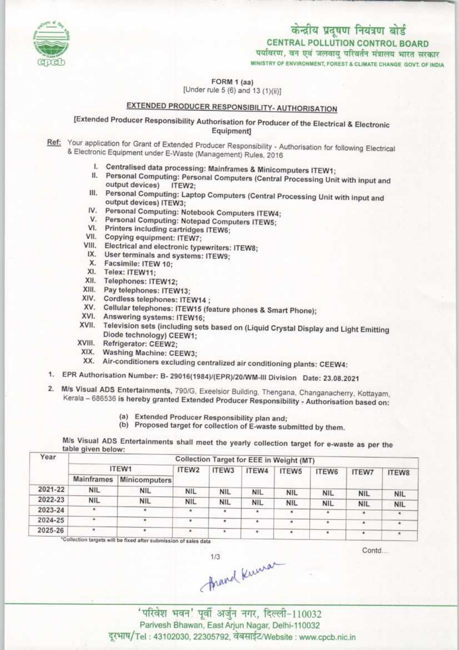

## केन्द्रीय प्रदूषण नियंत्रण बोर्ड CENTRAL POLLUTION CONTROL BOARD पर्यावरण, बन एवं जलवायु परिवर्तन मंत्रालय भारत सरकार

MINISTRY OF ENVIRONMENT, FOREST & CLIMATE CHANGE GOVT. OF INDIA

FORM 1 (aa)<br>[Under rule 5 (6) and 13 (1)(ii)]

# EXTENDED PRODUCER RESPONSIBILITY- AUTHORISATION

[Extended Producer Responsibility Authorisation for Producer of the Electrical S Electronic Equipment]

Ref: Your application for Grant of Extended Producer Responsibility - Authorisation for following Electrical & Electronic Equipment under E-Waste (Management) Rules, 2016

- I. Centralised data processing: Mainframes & Minicomputers ITEW1;
- II. Centralised data processing: Mainframes & Minicomputers ITEW1;<br>II. Personal Computing: Personal Computers (Central Processing Unit with input and output devices) ITEW2;
- output devices) ITEW2;<br>III. Personal Computing: Laptop Computers (Central Processing Unit with input and<br>output devices) ITEW3: output devices) ITEW3;<br>IV. Personal Computing: Notebook Computers ITEW4;
- V. Personal Computing: Notebook Computers ITEW<br>V. Personal Computing: Notepad Computers ITEW5;
- V. Personal Computing: Notebook Con<br>V. Personal Computing: Notepad Comp<br>VI. Printers including cartridges ITEW6;
- VI. Printers including cartridge<br>VII. Copying equipment: ITEW7;
- 
- VII. Copying equipment: ITEW7;<br>VIII. Electrical and electronic typewriters: ITEW8;<br>VIII. Electrical and electronic typewriters: ITEW8; IX. Copying equipment: ITEW7;<br>III. Electrical and electronic typewriters<br>IX. User terminals and systems: ITEW9;
- IX. User terminals and systems: ITEW9;<br>X. Facsimile: ITEW 10;
- 
- XI. Telex: ITEW11;
- XII. Telephones: ITEW12;
- XIII.Pay telephones: ITEW13;
- XIV. Cordless telephones: ITEW14 ;
- XIV. Cordless telephones: ITEW14 ;<br>XV. Cellular telephones: ITEW15 (feature phones & Smart Phone); XV. Cellular telephones: ITEW15<br>XVI. Answering systems: ITEW16;
- 
- XVI. Answering systems: ITEW16;<br>XVII. Television sets (including sets based on (Liquid Crystal Display and Light Emitting Diode technology) CEEW1;
- XVIII. Refrigerator: CEEW2;
- XIX. Washing Machine: CEEW3;
- XX. Air-conditioners excluding centralized air conditioning plants: CEEW4:
- 1. EPR Authorisation Number: B- 29016(1>84)/{EPRy20/WM-lll Division Date: 23.08.2021
- 2. M/s Visual ADS Entertainments, 790/G, Exeelsior Building, Thengana, Changanacherry, Kottayam, Kerala – 686536 is hereby granted Extended Producer Responsibility - Authorisation based on:
	- (a) Extended Producer Responsibility plan and;
	- (b) Proposed target for collection of E-waste submitted by them.

/s Visual ADS Entertainments shall meet the yearly collection target for e-waste as per the

| ITEW1             |            | ITEW2      | ITEW3         | ITEW4      | ITEW5      | ITEW6 |                                                                      | <b>ITEW8</b>                             |  |  |
|-------------------|------------|------------|---------------|------------|------------|-------|----------------------------------------------------------------------|------------------------------------------|--|--|
| <b>Mainframes</b> |            |            |               |            |            |       |                                                                      |                                          |  |  |
| <b>NIL</b>        | <b>NIL</b> | <b>NIL</b> | <b>NIL</b>    | <b>NIL</b> | <b>NIL</b> |       |                                                                      | <b>NIL</b>                               |  |  |
| <b>NIL</b>        | <b>NIL</b> | <b>NIL</b> | <b>NIL</b>    | <b>NIL</b> | <b>NIL</b> |       |                                                                      | <b>NIL</b>                               |  |  |
| ۰                 | ٠          |            |               |            |            |       | ۰                                                                    |                                          |  |  |
|                   |            |            |               |            |            |       | ٠                                                                    |                                          |  |  |
|                   |            |            | $\bullet$     | $\sim$     |            |       |                                                                      |                                          |  |  |
|                   |            |            | Minicomputers |            |            |       | Collection Target for EEE in Weight (MT)<br><b>NIL</b><br><b>NIL</b> | <b>ITEW7</b><br><b>NIL</b><br><b>NIL</b> |  |  |

rgets will be fixed after submission of sales data

Contd...

 $A$ navel Kuuna

Parivesh Bhawan, East Arjun Nagar, Delhi-110032 दूरभाष/Tel: 43102030, 22305792, वेबसाईट/Website : www.cpcb.nic.in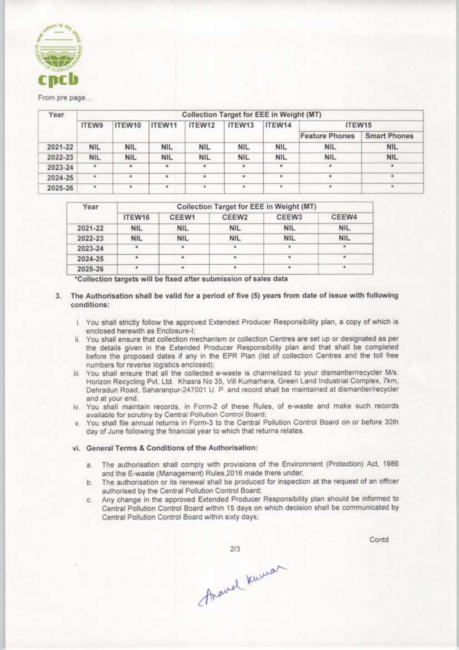

#### From pre page...

| Year    | Collection Target for EEE in Weight (MT) |            |            |            |            |                |                       |                     |  |  |
|---------|------------------------------------------|------------|------------|------------|------------|----------------|-----------------------|---------------------|--|--|
|         | <b>ITEW9</b>                             | ITEW10     | ITEW11     | ITEW12     | ITEW13     | ITEW14         | ITEW15                |                     |  |  |
|         |                                          |            |            |            |            |                | <b>Feature Phones</b> | <b>Smart Phones</b> |  |  |
| 2021-22 | <b>NIL</b>                               | <b>NIL</b> | <b>NIL</b> | <b>NIL</b> | <b>NIL</b> | <b>NIL</b>     | <b>NIL</b>            | <b>NIL</b>          |  |  |
| 2022-23 | <b>NIL</b>                               | <b>NIL</b> | <b>NIL</b> | <b>NIL</b> | <b>NIL</b> | <b>NIL</b>     | <b>NIL</b>            | <b>NIL</b>          |  |  |
| 2023-24 | $\bullet$                                |            | ٠          | ۰          | *          | $\mathfrak{m}$ | $\pi$                 |                     |  |  |
| 2024-25 | $\mathbf{r}$                             |            |            | ٠          |            | ٠              |                       |                     |  |  |
| 2025-26 |                                          |            |            |            |            |                |                       |                     |  |  |

| Year    | Collection Target for EEE in Weight (MT) |            |            |                   |            |  |  |  |  |
|---------|------------------------------------------|------------|------------|-------------------|------------|--|--|--|--|
|         | ITEW16                                   | CEEW1      | CEEW2      | CEEW <sub>3</sub> | CEEW4      |  |  |  |  |
| 2021-22 | <b>NIL</b>                               | <b>NIL</b> | <b>NIL</b> | <b>NIL</b>        | <b>NIL</b> |  |  |  |  |
| 2022-23 | <b>NIL</b>                               | <b>NIL</b> | <b>NIL</b> | <b>NIL</b>        | <b>NIL</b> |  |  |  |  |
| 2023-24 | ٠                                        | $-1.4$     | ٠          |                   |            |  |  |  |  |
| 2024-25 |                                          |            |            |                   |            |  |  |  |  |
| 2025-26 |                                          |            |            |                   |            |  |  |  |  |

\*Collection targets will be fixed after submission of sales data

- 3. The Authorisation shall be valid for a period of five (5) years from date of issue with following conditions:
	- i. You shall strictly follow the approved Extended Producer Responsibility plan, a copy of which is
	- enclosed herewith as Enclosure-I:<br>ii. You shall ensure that collection mechanism or collection Centres are set up or designated as per the details given in the Extended Producer Responsibility plan and that shall be completed<br>before the proposed dates if any in the EPR Plan (list of collection Centres and the toll free numbers for reverse logistics enclosed);
	- iii. You shall ensure that all the collected e-waste is channelized to your dismantler/recycler M/s. Horizon Recycling Pvt. Ltd. Khasra No 35, Vill Kumarhera, Green Land Industrial Complex, 7km, Dehradun Road, Saharanpur-247001 U. P. and record shall be maintained at dismantler/recycler
	- Iv. You shall maintain records, in Form-2 of these Rules, of e-waste and make such records available for scrutiny by Central Pollution Control Board;
	- v. You shall file annual returns in Form-3 to the Central Pollution Control Board on or before 30th day of June following the financial year to which that returns relates.

#### vi. General Terms & Conditions of the Authorisation:

- a. The authorisation shall comply with provisions of the Environment (Protection) Act, 1986 and the E-waste (Management) Rules, 2016 made there under;
- b. The authorisation or its renewal shall be produced for inspection at the request of an officer authorised by the Central Pollution Control Board;
- c. Any change in the approved Extended Producer Responsibility plan should be informed to Central Pollution Control Board within 15 days on which decision shall be Central Pollution Control Board within sixty days;

 $2/3$ 

Contd

Arawel Kuman